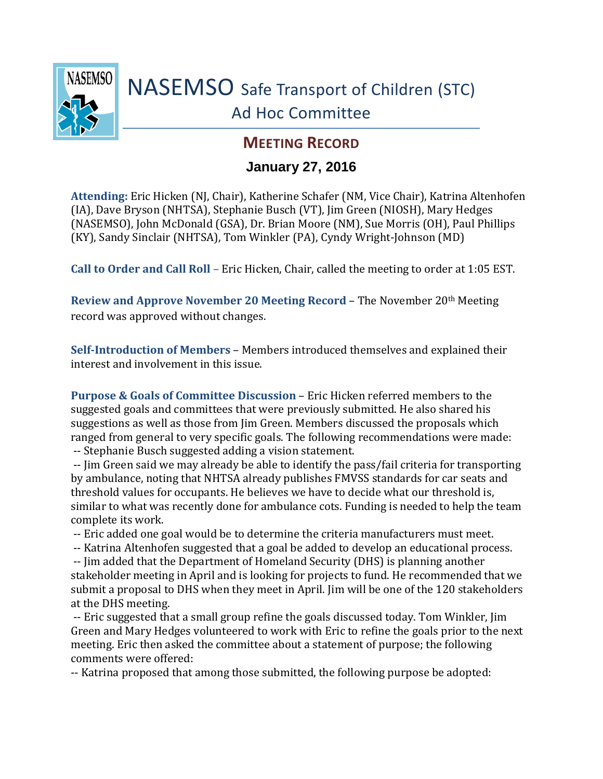

## **MEETING RECORD**

## **January 27, 2016**

**Attending:** Eric Hicken (NJ, Chair), Katherine Schafer (NM, Vice Chair), Katrina Altenhofen (IA), Dave Bryson (NHTSA), Stephanie Busch (VT), Jim Green (NIOSH), Mary Hedges (NASEMSO), John McDonald (GSA), Dr. Brian Moore (NM), Sue Morris (OH), Paul Phillips (KY), Sandy Sinclair (NHTSA), Tom Winkler (PA), Cyndy Wright-Johnson (MD)

**Call to Order and Call Roll** – Eric Hicken, Chair, called the meeting to order at 1:05 EST.

**Review and Approve November 20 Meeting Record - The November 20th Meeting** record was approved without changes.

**Self-Introduction of Members** – Members introduced themselves and explained their interest and involvement in this issue.

**Purpose & Goals of Committee Discussion** – Eric Hicken referred members to the suggested goals and committees that were previously submitted. He also shared his suggestions as well as those from Jim Green. Members discussed the proposals which ranged from general to very specific goals. The following recommendations were made: -- Stephanie Busch suggested adding a vision statement.

-- Jim Green said we may already be able to identify the pass/fail criteria for transporting by ambulance, noting that NHTSA already publishes FMVSS standards for car seats and threshold values for occupants. He believes we have to decide what our threshold is, similar to what was recently done for ambulance cots. Funding is needed to help the team complete its work.

-- Eric added one goal would be to determine the criteria manufacturers must meet.

-- Katrina Altenhofen suggested that a goal be added to develop an educational process.

-- Jim added that the Department of Homeland Security (DHS) is planning another stakeholder meeting in April and is looking for projects to fund. He recommended that we submit a proposal to DHS when they meet in April. Jim will be one of the 120 stakeholders at the DHS meeting.

-- Eric suggested that a small group refine the goals discussed today. Tom Winkler, Jim Green and Mary Hedges volunteered to work with Eric to refine the goals prior to the next meeting. Eric then asked the committee about a statement of purpose; the following comments were offered:

-- Katrina proposed that among those submitted, the following purpose be adopted: